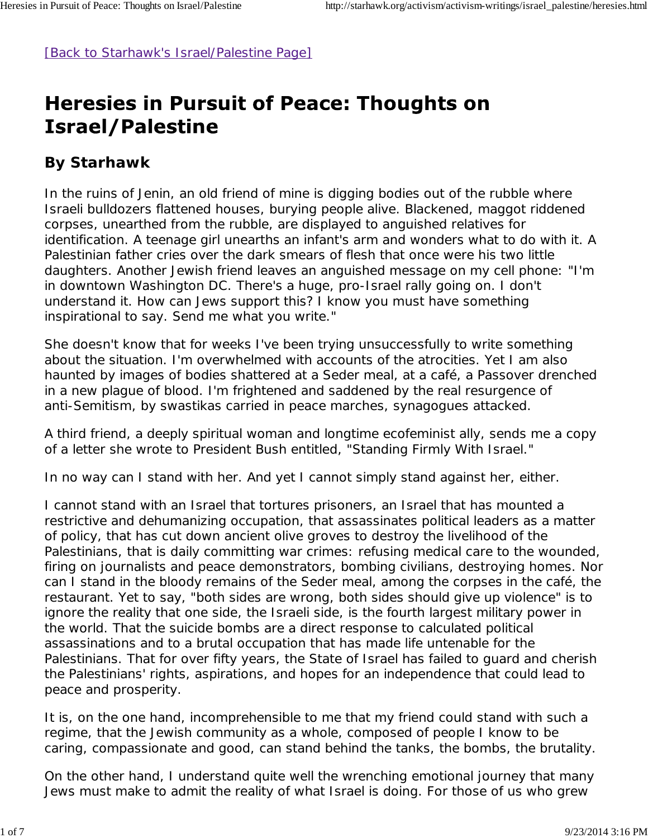## **Heresies in Pursuit of Peace: Thoughts on Israel/Palestine**

## **By Starhawk**

In the ruins of Jenin, an old friend of mine is digging bodies out of the rubble where Israeli bulldozers flattened houses, burying people alive. Blackened, maggot riddened corpses, unearthed from the rubble, are displayed to anguished relatives for identification. A teenage girl unearths an infant's arm and wonders what to do with it. A Palestinian father cries over the dark smears of flesh that once were his two little daughters. Another Jewish friend leaves an anguished message on my cell phone: "I'm in downtown Washington DC. There's a huge, pro-Israel rally going on. I don't understand it. How can Jews support this? I know you must have something inspirational to say. Send me what you write."

She doesn't know that for weeks I've been trying unsuccessfully to write something about the situation. I'm overwhelmed with accounts of the atrocities. Yet I am also haunted by images of bodies shattered at a Seder meal, at a café, a Passover drenched in a new plague of blood. I'm frightened and saddened by the real resurgence of anti-Semitism, by swastikas carried in peace marches, synagogues attacked.

A third friend, a deeply spiritual woman and longtime ecofeminist ally, sends me a copy of a letter she wrote to President Bush entitled, "Standing Firmly With Israel."

In no way can I stand with her. And yet I cannot simply stand against her, either.

I cannot stand with an Israel that tortures prisoners, an Israel that has mounted a restrictive and dehumanizing occupation, that assassinates political leaders as a matter of policy, that has cut down ancient olive groves to destroy the livelihood of the Palestinians, that is daily committing war crimes: refusing medical care to the wounded, firing on journalists and peace demonstrators, bombing civilians, destroying homes. Nor can I stand in the bloody remains of the Seder meal, among the corpses in the café, the restaurant. Yet to say, "both sides are wrong, both sides should give up violence" is to ignore the reality that one side, the Israeli side, is the fourth largest military power in the world. That the suicide bombs are a direct response to calculated political assassinations and to a brutal occupation that has made life untenable for the Palestinians. That for over fifty years, the State of Israel has failed to guard and cherish the Palestinians' rights, aspirations, and hopes for an independence that could lead to peace and prosperity.

It is, on the one hand, incomprehensible to me that my friend could stand with such a regime, that the Jewish community as a whole, composed of people I know to be caring, compassionate and good, can stand behind the tanks, the bombs, the brutality.

On the other hand, I understand quite well the wrenching emotional journey that many Jews must make to admit the reality of what Israel is doing. For those of us who grew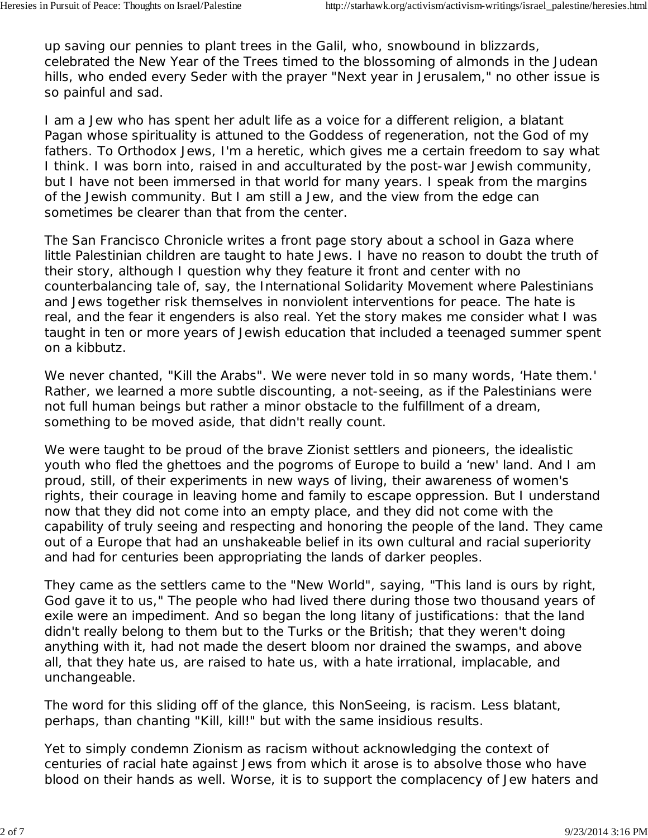up saving our pennies to plant trees in the Galil, who, snowbound in blizzards, celebrated the New Year of the Trees timed to the blossoming of almonds in the Judean hills, who ended every Seder with the prayer "Next year in Jerusalem," no other issue is so painful and sad.

I am a Jew who has spent her adult life as a voice for a different religion, a blatant Pagan whose spirituality is attuned to the Goddess of regeneration, not the God of my fathers. To Orthodox Jews, I'm a heretic, which gives me a certain freedom to say what I think. I was born into, raised in and acculturated by the post-war Jewish community, but I have not been immersed in that world for many years. I speak from the margins of the Jewish community. But I am still a Jew, and the view from the edge can sometimes be clearer than that from the center.

The San Francisco Chronicle writes a front page story about a school in Gaza where little Palestinian children are taught to hate Jews. I have no reason to doubt the truth of their story, although I question why they feature it front and center with no counterbalancing tale of, say, the International Solidarity Movement where Palestinians and Jews together risk themselves in nonviolent interventions for peace. The hate is real, and the fear it engenders is also real. Yet the story makes me consider what I was taught in ten or more years of Jewish education that included a teenaged summer spent on a kibbutz.

We never chanted, "Kill the Arabs". We were never told in so many words, 'Hate them.' Rather, we learned a more subtle discounting, a not-seeing, as if the Palestinians were not full human beings but rather a minor obstacle to the fulfillment of a dream, something to be moved aside, that didn't really count.

We were taught to be proud of the brave Zionist settlers and pioneers, the idealistic youth who fled the ghettoes and the pogroms of Europe to build a 'new' land. And I am proud, still, of their experiments in new ways of living, their awareness of women's rights, their courage in leaving home and family to escape oppression. But I understand now that they did not come into an empty place, and they did not come with the capability of truly seeing and respecting and honoring the people of the land. They came out of a Europe that had an unshakeable belief in its own cultural and racial superiority and had for centuries been appropriating the lands of darker peoples.

They came as the settlers came to the "New World", saying, "This land is ours by right, God gave it to us," The people who had lived there during those two thousand years of exile were an impediment. And so began the long litany of justifications: that the land didn't really belong to them but to the Turks or the British; that they weren't doing anything with it, had not made the desert bloom nor drained the swamps, and above all, that they hate us, are raised to hate us, with a hate irrational, implacable, and unchangeable.

The word for this sliding off of the glance, this NonSeeing, is racism. Less blatant, perhaps, than chanting "Kill, kill!" but with the same insidious results.

Yet to simply condemn Zionism as racism without acknowledging the context of centuries of racial hate against Jews from which it arose is to absolve those who have blood on their hands as well. Worse, it is to support the complacency of Jew haters and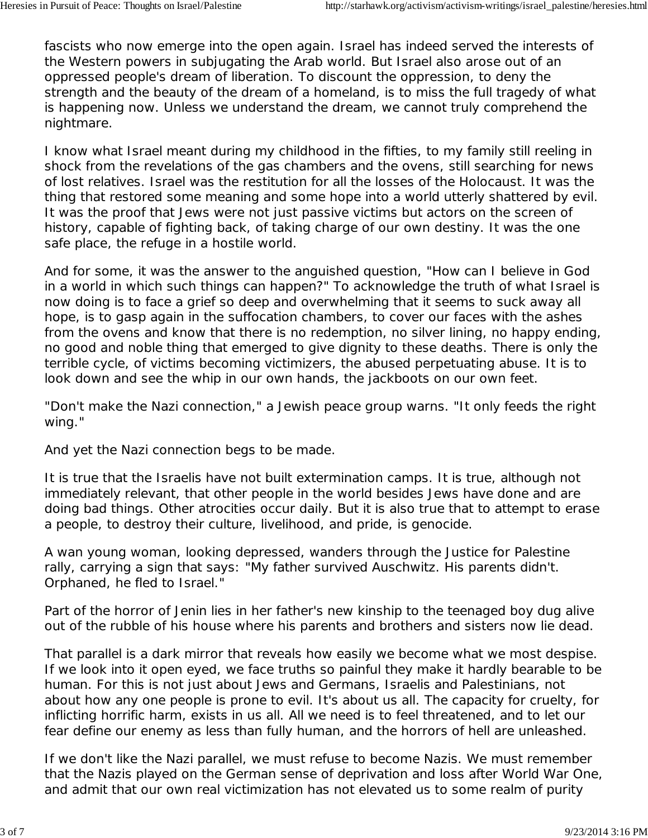fascists who now emerge into the open again. Israel has indeed served the interests of the Western powers in subjugating the Arab world. But Israel also arose out of an oppressed people's dream of liberation. To discount the oppression, to deny the strength and the beauty of the dream of a homeland, is to miss the full tragedy of what is happening now. Unless we understand the dream, we cannot truly comprehend the nightmare.

I know what Israel meant during my childhood in the fifties, to my family still reeling in shock from the revelations of the gas chambers and the ovens, still searching for news of lost relatives. Israel was the restitution for all the losses of the Holocaust. It was the thing that restored some meaning and some hope into a world utterly shattered by evil. It was the proof that Jews were not just passive victims but actors on the screen of history, capable of fighting back, of taking charge of our own destiny. It was the one safe place, the refuge in a hostile world.

And for some, it was the answer to the anguished question, "How can I believe in God in a world in which such things can happen?" To acknowledge the truth of what Israel is now doing is to face a grief so deep and overwhelming that it seems to suck away all hope, is to gasp again in the suffocation chambers, to cover our faces with the ashes from the ovens and know that there is no redemption, no silver lining, no happy ending, no good and noble thing that emerged to give dignity to these deaths. There is only the terrible cycle, of victims becoming victimizers, the abused perpetuating abuse. It is to look down and see the whip in our own hands, the jackboots on our own feet.

"Don't make the Nazi connection," a Jewish peace group warns. "It only feeds the right wing."

And yet the Nazi connection begs to be made.

It is true that the Israelis have not built extermination camps. It is true, although not immediately relevant, that other people in the world besides Jews have done and are doing bad things. Other atrocities occur daily. But it is also true that to attempt to erase a people, to destroy their culture, livelihood, and pride, is genocide.

A wan young woman, looking depressed, wanders through the Justice for Palestine rally, carrying a sign that says: "My father survived Auschwitz. His parents didn't. Orphaned, he fled to Israel."

Part of the horror of Jenin lies in her father's new kinship to the teenaged boy dug alive out of the rubble of his house where his parents and brothers and sisters now lie dead.

That parallel is a dark mirror that reveals how easily we become what we most despise. If we look into it open eyed, we face truths so painful they make it hardly bearable to be human. For this is not just about Jews and Germans, Israelis and Palestinians, not about how any one people is prone to evil. It's about us all. The capacity for cruelty, for inflicting horrific harm, exists in us all. All we need is to feel threatened, and to let our fear define our enemy as less than fully human, and the horrors of hell are unleashed.

If we don't like the Nazi parallel, we must refuse to become Nazis. We must remember that the Nazis played on the German sense of deprivation and loss after World War One, and admit that our own real victimization has not elevated us to some realm of purity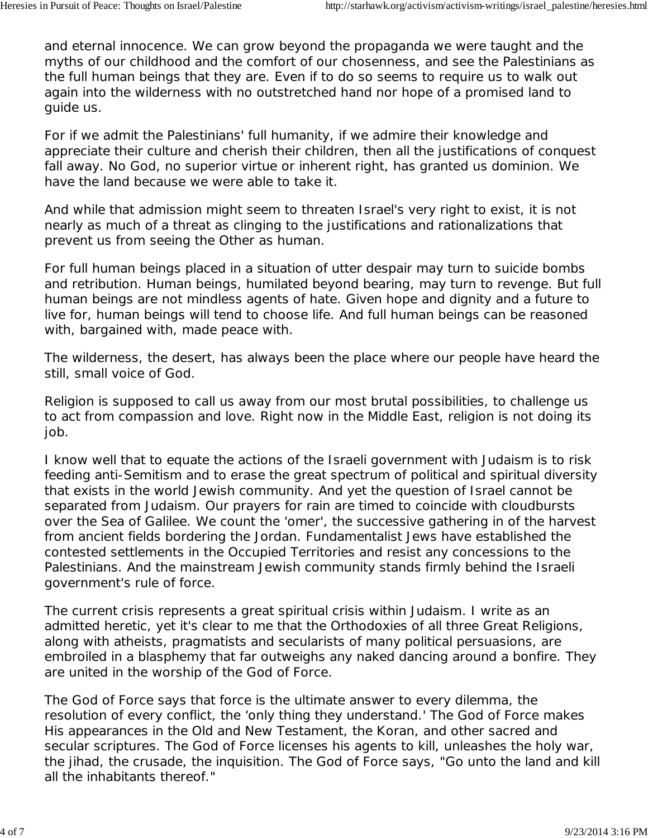and eternal innocence. We can grow beyond the propaganda we were taught and the myths of our childhood and the comfort of our chosenness, and see the Palestinians as the full human beings that they are. Even if to do so seems to require us to walk out again into the wilderness with no outstretched hand nor hope of a promised land to guide us.

For if we admit the Palestinians' full humanity, if we admire their knowledge and appreciate their culture and cherish their children, then all the justifications of conquest fall away. No God, no superior virtue or inherent right, has granted us dominion. We have the land because we were able to take it.

And while that admission might seem to threaten Israel's very right to exist, it is not nearly as much of a threat as clinging to the justifications and rationalizations that prevent us from seeing the Other as human.

For full human beings placed in a situation of utter despair may turn to suicide bombs and retribution. Human beings, humilated beyond bearing, may turn to revenge. But full human beings are not mindless agents of hate. Given hope and dignity and a future to live for, human beings will tend to choose life. And full human beings can be reasoned with, bargained with, made peace with.

The wilderness, the desert, has always been the place where our people have heard the still, small voice of God.

Religion is supposed to call us away from our most brutal possibilities, to challenge us to act from compassion and love. Right now in the Middle East, religion is not doing its job.

I know well that to equate the actions of the Israeli government with Judaism is to risk feeding anti-Semitism and to erase the great spectrum of political and spiritual diversity that exists in the world Jewish community. And yet the question of Israel cannot be separated from Judaism. Our prayers for rain are timed to coincide with cloudbursts over the Sea of Galilee. We count the 'omer', the successive gathering in of the harvest from ancient fields bordering the Jordan. Fundamentalist Jews have established the contested settlements in the Occupied Territories and resist any concessions to the Palestinians. And the mainstream Jewish community stands firmly behind the Israeli government's rule of force.

The current crisis represents a great spiritual crisis within Judaism. I write as an admitted heretic, yet it's clear to me that the Orthodoxies of all three Great Religions, along with atheists, pragmatists and secularists of many political persuasions, are embroiled in a blasphemy that far outweighs any naked dancing around a bonfire. They are united in the worship of the God of Force.

The God of Force says that force is the ultimate answer to every dilemma, the resolution of every conflict, the 'only thing they understand.' The God of Force makes His appearances in the Old and New Testament, the Koran, and other sacred and secular scriptures. The God of Force licenses his agents to kill, unleashes the holy war, the jihad, the crusade, the inquisition. The God of Force says, "Go unto the land and kill all the inhabitants thereof."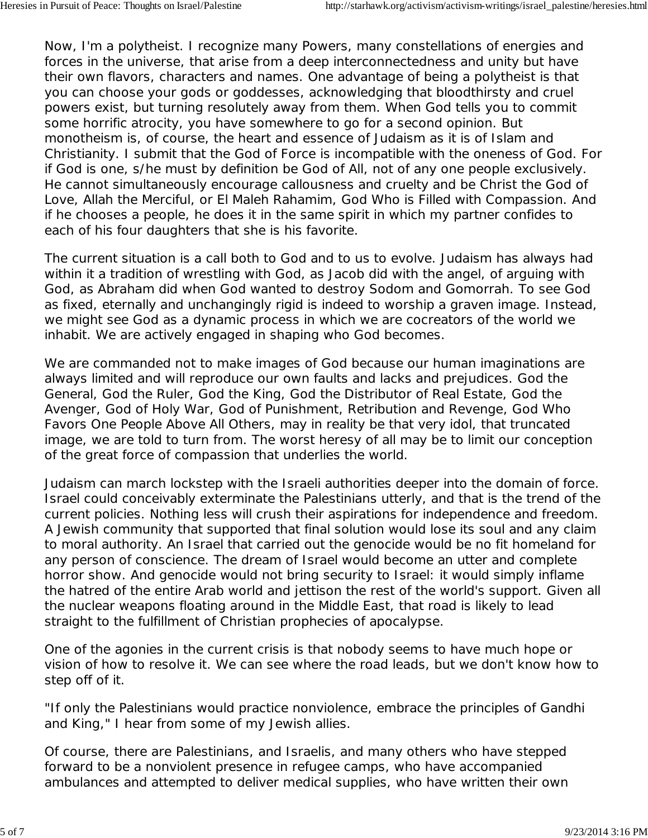Now, I'm a polytheist. I recognize many Powers, many constellations of energies and forces in the universe, that arise from a deep interconnectedness and unity but have their own flavors, characters and names. One advantage of being a polytheist is that you can choose your gods or goddesses, acknowledging that bloodthirsty and cruel powers exist, but turning resolutely away from them. When God tells you to commit some horrific atrocity, you have somewhere to go for a second opinion. But monotheism is, of course, the heart and essence of Judaism as it is of Islam and Christianity. I submit that the God of Force is incompatible with the oneness of God. For if God is one, s/he must by definition be God of All, not of any one people exclusively. He cannot simultaneously encourage callousness and cruelty and be Christ the God of Love, Allah the Merciful, or El Maleh Rahamim, God Who is Filled with Compassion. And if he chooses a people, he does it in the same spirit in which my partner confides to each of his four daughters that she is his favorite.

The current situation is a call both to God and to us to evolve. Judaism has always had within it a tradition of wrestling with God, as Jacob did with the angel, of arguing with God, as Abraham did when God wanted to destroy Sodom and Gomorrah. To see God as fixed, eternally and unchangingly rigid is indeed to worship a graven image. Instead, we might see God as a dynamic process in which we are cocreators of the world we inhabit. We are actively engaged in shaping who God becomes.

We are commanded not to make images of God because our human imaginations are always limited and will reproduce our own faults and lacks and prejudices. God the General, God the Ruler, God the King, God the Distributor of Real Estate, God the Avenger, God of Holy War, God of Punishment, Retribution and Revenge, God Who Favors One People Above All Others, may in reality be that very idol, that truncated image, we are told to turn from. The worst heresy of all may be to limit our conception of the great force of compassion that underlies the world.

Judaism can march lockstep with the Israeli authorities deeper into the domain of force. Israel could conceivably exterminate the Palestinians utterly, and that is the trend of the current policies. Nothing less will crush their aspirations for independence and freedom. A Jewish community that supported that final solution would lose its soul and any claim to moral authority. An Israel that carried out the genocide would be no fit homeland for any person of conscience. The dream of Israel would become an utter and complete horror show. And genocide would not bring security to Israel: it would simply inflame the hatred of the entire Arab world and jettison the rest of the world's support. Given all the nuclear weapons floating around in the Middle East, that road is likely to lead straight to the fulfillment of Christian prophecies of apocalypse.

One of the agonies in the current crisis is that nobody seems to have much hope or vision of how to resolve it. We can see where the road leads, but we don't know how to step off of it.

"If only the Palestinians would practice nonviolence, embrace the principles of Gandhi and King," I hear from some of my Jewish allies.

Of course, there are Palestinians, and Israelis, and many others who have stepped forward to be a nonviolent presence in refugee camps, who have accompanied ambulances and attempted to deliver medical supplies, who have written their own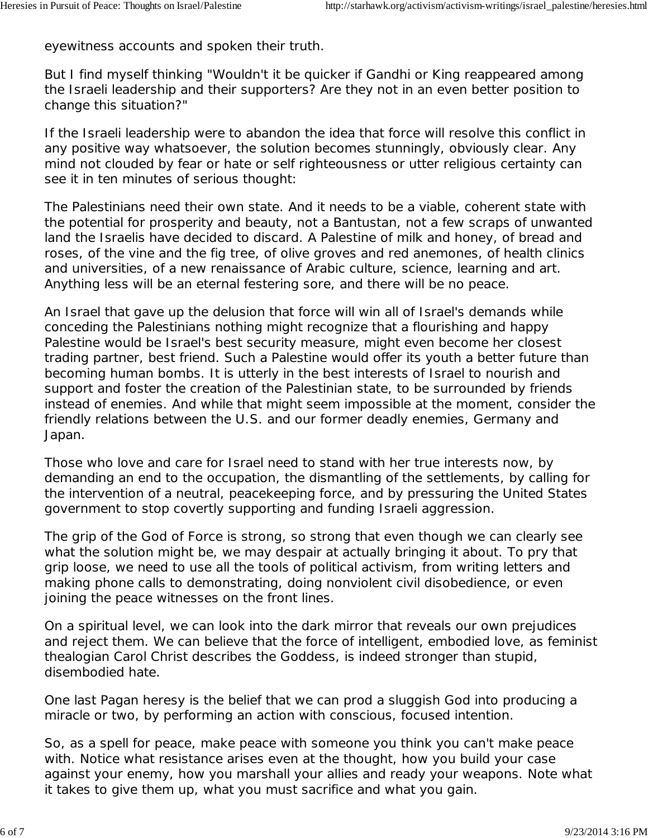eyewitness accounts and spoken their truth.

But I find myself thinking "Wouldn't it be quicker if Gandhi or King reappeared among the Israeli leadership and their supporters? Are they not in an even better position to change this situation?"

If the Israeli leadership were to abandon the idea that force will resolve this conflict in any positive way whatsoever, the solution becomes stunningly, obviously clear. Any mind not clouded by fear or hate or self righteousness or utter religious certainty can see it in ten minutes of serious thought:

The Palestinians need their own state. And it needs to be a viable, coherent state with the potential for prosperity and beauty, not a Bantustan, not a few scraps of unwanted land the Israelis have decided to discard. A Palestine of milk and honey, of bread and roses, of the vine and the fig tree, of olive groves and red anemones, of health clinics and universities, of a new renaissance of Arabic culture, science, learning and art. Anything less will be an eternal festering sore, and there will be no peace.

An Israel that gave up the delusion that force will win all of Israel's demands while conceding the Palestinians nothing might recognize that a flourishing and happy Palestine would be Israel's best security measure, might even become her closest trading partner, best friend. Such a Palestine would offer its youth a better future than becoming human bombs. It is utterly in the best interests of Israel to nourish and support and foster the creation of the Palestinian state, to be surrounded by friends instead of enemies. And while that might seem impossible at the moment, consider the friendly relations between the U.S. and our former deadly enemies, Germany and Japan.

Those who love and care for Israel need to stand with her true interests now, by demanding an end to the occupation, the dismantling of the settlements, by calling for the intervention of a neutral, peacekeeping force, and by pressuring the United States government to stop covertly supporting and funding Israeli aggression.

The grip of the God of Force is strong, so strong that even though we can clearly see what the solution might be, we may despair at actually bringing it about. To pry that grip loose, we need to use all the tools of political activism, from writing letters and making phone calls to demonstrating, doing nonviolent civil disobedience, or even joining the peace witnesses on the front lines.

On a spiritual level, we can look into the dark mirror that reveals our own prejudices and reject them. We can believe that the force of intelligent, embodied love, as feminist thealogian Carol Christ describes the Goddess, is indeed stronger than stupid, disembodied hate.

One last Pagan heresy is the belief that we can prod a sluggish God into producing a miracle or two, by performing an action with conscious, focused intention.

So, as a spell for peace, make peace with someone you think you can't make peace with. Notice what resistance arises even at the thought, how you build your case against your enemy, how you marshall your allies and ready your weapons. Note what it takes to give them up, what you must sacrifice and what you gain.